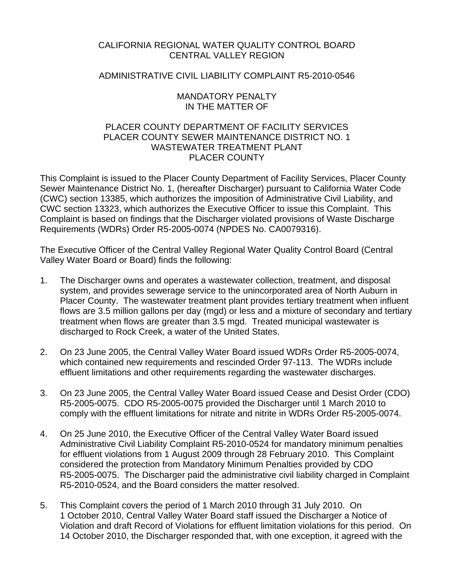# CALIFORNIA REGIONAL WATER QUALITY CONTROL BOARD CENTRAL VALLEY REGION

# ADMINISTRATIVE CIVIL LIABILITY COMPLAINT R5-2010-0546

## MANDATORY PENALTY IN THE MATTER OF

# PLACER COUNTY DEPARTMENT OF FACILITY SERVICES PLACER COUNTY SEWER MAINTENANCE DISTRICT NO. 1 WASTEWATER TREATMENT PLANT PLACER COUNTY

This Complaint is issued to the Placer County Department of Facility Services, Placer County Sewer Maintenance District No. 1, (hereafter Discharger) pursuant to California Water Code (CWC) section 13385, which authorizes the imposition of Administrative Civil Liability, and CWC section 13323, which authorizes the Executive Officer to issue this Complaint. This Complaint is based on findings that the Discharger violated provisions of Waste Discharge Requirements (WDRs) Order R5-2005-0074 (NPDES No. CA0079316).

The Executive Officer of the Central Valley Regional Water Quality Control Board (Central Valley Water Board or Board) finds the following:

- 1. The Discharger owns and operates a wastewater collection, treatment, and disposal system, and provides sewerage service to the unincorporated area of North Auburn in Placer County. The wastewater treatment plant provides tertiary treatment when influent flows are 3.5 million gallons per day (mgd) or less and a mixture of secondary and tertiary treatment when flows are greater than 3.5 mgd. Treated municipal wastewater is discharged to Rock Creek, a water of the United States.
- 2. On 23 June 2005, the Central Valley Water Board issued WDRs Order R5-2005-0074, which contained new requirements and rescinded Order 97-113. The WDRs include effluent limitations and other requirements regarding the wastewater discharges.
- 3. On 23 June 2005, the Central Valley Water Board issued Cease and Desist Order (CDO) R5-2005-0075. CDO R5-2005-0075 provided the Discharger until 1 March 2010 to comply with the effluent limitations for nitrate and nitrite in WDRs Order R5-2005-0074.
- 4. On 25 June 2010, the Executive Officer of the Central Valley Water Board issued Administrative Civil Liability Complaint R5-2010-0524 for mandatory minimum penalties for effluent violations from 1 August 2009 through 28 February 2010. This Complaint considered the protection from Mandatory Minimum Penalties provided by CDO R5-2005-0075. The Discharger paid the administrative civil liability charged in Complaint R5-2010-0524, and the Board considers the matter resolved.
- 5. This Complaint covers the period of 1 March 2010 through 31 July 2010. On 1 October 2010, Central Valley Water Board staff issued the Discharger a Notice of Violation and draft Record of Violations for effluent limitation violations for this period. On 14 October 2010, the Discharger responded that, with one exception, it agreed with the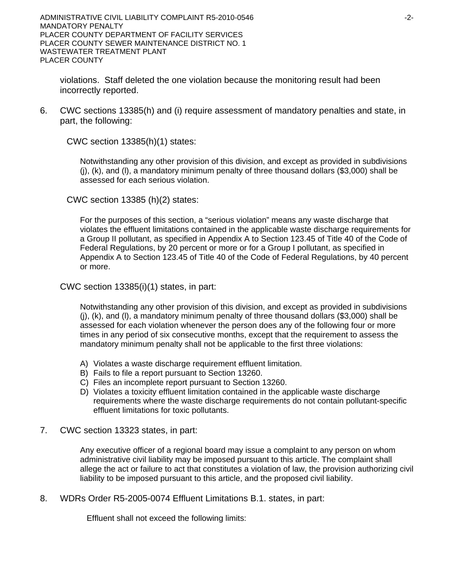ADMINISTRATIVE CIVIL LIABILITY COMPLAINT R5-2010-0546 **ADMINISTRATIVE CIVIL LIABILITY COMPLAINT** R5-2010-0546 MANDATORY PENALTY PLACER COUNTY DEPARTMENT OF FACILITY SERVICES PLACER COUNTY SEWER MAINTENANCE DISTRICT NO. 1 WASTEWATER TREATMENT PLANT PLACER COUNTY

violations. Staff deleted the one violation because the monitoring result had been incorrectly reported.

6. CWC sections 13385(h) and (i) require assessment of mandatory penalties and state, in part, the following:

CWC section 13385(h)(1) states:

Notwithstanding any other provision of this division, and except as provided in subdivisions (j), (k), and (l), a mandatory minimum penalty of three thousand dollars (\$3,000) shall be assessed for each serious violation.

CWC section 13385 (h)(2) states:

For the purposes of this section, a "serious violation" means any waste discharge that violates the effluent limitations contained in the applicable waste discharge requirements for a Group II pollutant, as specified in Appendix A to Section 123.45 of Title 40 of the Code of Federal Regulations, by 20 percent or more or for a Group I pollutant, as specified in Appendix A to Section 123.45 of Title 40 of the Code of Federal Regulations, by 40 percent or more.

CWC section 13385(i)(1) states, in part:

Notwithstanding any other provision of this division, and except as provided in subdivisions  $(i)$ ,  $(k)$ , and  $(l)$ , a mandatory minimum penalty of three thousand dollars (\$3,000) shall be assessed for each violation whenever the person does any of the following four or more times in any period of six consecutive months, except that the requirement to assess the mandatory minimum penalty shall not be applicable to the first three violations:

- A) Violates a waste discharge requirement effluent limitation.
- B) Fails to file a report pursuant to Section 13260.
- C) Files an incomplete report pursuant to Section 13260.
- D) Violates a toxicity effluent limitation contained in the applicable waste discharge requirements where the waste discharge requirements do not contain pollutant-specific effluent limitations for toxic pollutants.
- 7. CWC section 13323 states, in part:

Any executive officer of a regional board may issue a complaint to any person on whom administrative civil liability may be imposed pursuant to this article. The complaint shall allege the act or failure to act that constitutes a violation of law, the provision authorizing civil liability to be imposed pursuant to this article, and the proposed civil liability.

8. WDRs Order R5-2005-0074 Effluent Limitations B.1. states, in part:

Effluent shall not exceed the following limits: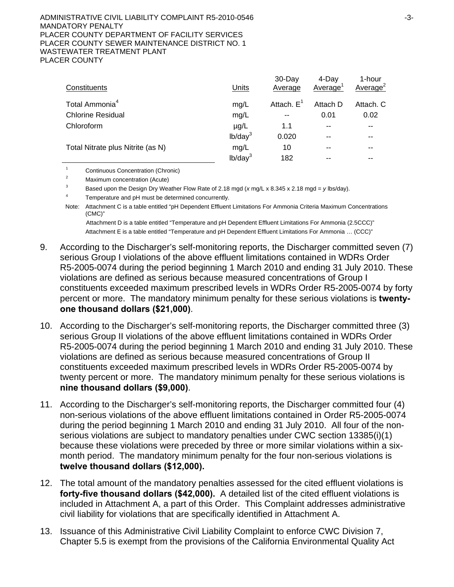#### ADMINISTRATIVE CIVIL LIABILITY COMPLAINT R5-2010-0546 ADMINISTRATIVE CIVIL LIABILITY COMPLAINT R5-2010-0546 MANDATORY PENALTY PLACER COUNTY DEPARTMENT OF FACILITY SERVICES PLACER COUNTY SEWER MAINTENANCE DISTRICT NO. 1 WASTEWATER TREATMENT PLANT PLACER COUNTY

| Constituents                      | Units               | $30 - Day$<br>Average | 4-Dav<br>Average | 1-hour<br>Average <sup>2</sup> |
|-----------------------------------|---------------------|-----------------------|------------------|--------------------------------|
| Total Ammonia <sup>4</sup>        | mg/L                | Attach. $E^1$         | Attach D         | Attach. C                      |
| <b>Chlorine Residual</b>          | mg/L                | $- -$                 | 0.01             | 0.02                           |
| Chloroform                        | $\mu$ g/L           | 1.1                   | $- -$            | --                             |
|                                   | lb/day <sup>3</sup> | 0.020                 | --               | $-$                            |
| Total Nitrate plus Nitrite (as N) | mg/L                | 10                    | --               | --                             |
|                                   | lb/day <sup>3</sup> | 182                   |                  |                                |

1 Continuous Concentration (Chronic)

2 Maximum concentration (Acute)

3 Based upon the Design Dry Weather Flow Rate of 2.18 mgd (*x* mg/L x 8.345 x 2.18 mgd = *y* lbs/day).

4 Temperature and pH must be determined concurrently.

Note: Attachment C is a table entitled "pH Dependent Effluent Limitations For Ammonia Criteria Maximum Concentrations (CMC)"

 Attachment D is a table entitled "Temperature and pH Dependent Effluent Limitations For Ammonia (2.5CCC)" Attachment E is a table entitled "Temperature and pH Dependent Effluent Limitations For Ammonia … (CCC)"

- 9. According to the Discharger's self-monitoring reports, the Discharger committed seven (7) serious Group I violations of the above effluent limitations contained in WDRs Order R5-2005-0074 during the period beginning 1 March 2010 and ending 31 July 2010. These violations are defined as serious because measured concentrations of Group I constituents exceeded maximum prescribed levels in WDRs Order R5-2005-0074 by forty percent or more. The mandatory minimum penalty for these serious violations is **twentyone thousand dollars (\$21,000)**.
- 10. According to the Discharger's self-monitoring reports, the Discharger committed three (3) serious Group II violations of the above effluent limitations contained in WDRs Order R5-2005-0074 during the period beginning 1 March 2010 and ending 31 July 2010. These violations are defined as serious because measured concentrations of Group II constituents exceeded maximum prescribed levels in WDRs Order R5-2005-0074 by twenty percent or more. The mandatory minimum penalty for these serious violations is **nine thousand dollars (\$9,000)**.
- 11. According to the Discharger's self-monitoring reports, the Discharger committed four (4) non-serious violations of the above effluent limitations contained in Order R5-2005-0074 during the period beginning 1 March 2010 and ending 31 July 2010. All four of the nonserious violations are subject to mandatory penalties under CWC section 13385(i)(1) because these violations were preceded by three or more similar violations within a sixmonth period. The mandatory minimum penalty for the four non-serious violations is **twelve thousand dollars (\$12,000).**
- 12. The total amount of the mandatory penalties assessed for the cited effluent violations is **forty-five thousand dollars (\$42,000).** A detailed list of the cited effluent violations is included in Attachment A, a part of this Order. This Complaint addresses administrative civil liability for violations that are specifically identified in Attachment A.
- 13. Issuance of this Administrative Civil Liability Complaint to enforce CWC Division 7, Chapter 5.5 is exempt from the provisions of the California Environmental Quality Act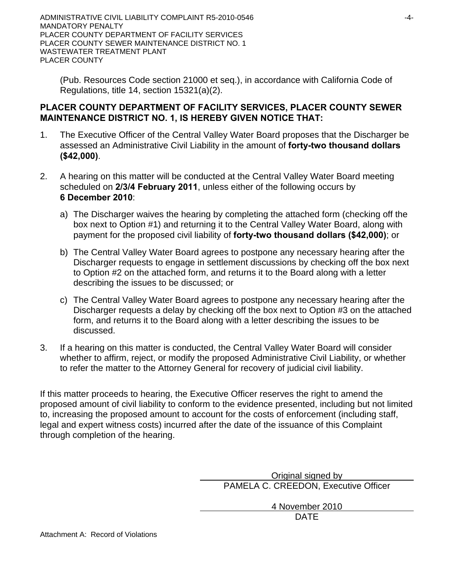ADMINISTRATIVE CIVIL LIABILITY COMPLAINT R5-2010-0546  $-4-$ MANDATORY PENALTY PLACER COUNTY DEPARTMENT OF FACILITY SERVICES PLACER COUNTY SEWER MAINTENANCE DISTRICT NO. 1 WASTEWATER TREATMENT PLANT PLACER COUNTY

(Pub. Resources Code section 21000 et seq.), in accordance with California Code of Regulations, title 14, section 15321(a)(2).

# **PLACER COUNTY DEPARTMENT OF FACILITY SERVICES, PLACER COUNTY SEWER MAINTENANCE DISTRICT NO. 1, IS HEREBY GIVEN NOTICE THAT:**

- 1. The Executive Officer of the Central Valley Water Board proposes that the Discharger be assessed an Administrative Civil Liability in the amount of **forty-two thousand dollars (\$42,000)**.
- 2. A hearing on this matter will be conducted at the Central Valley Water Board meeting scheduled on **2/3/4 February 2011**, unless either of the following occurs by **6 December 2010**:
	- a) The Discharger waives the hearing by completing the attached form (checking off the box next to Option #1) and returning it to the Central Valley Water Board, along with payment for the proposed civil liability of **forty-two thousand dollars (\$42,000)**; or
	- b) The Central Valley Water Board agrees to postpone any necessary hearing after the Discharger requests to engage in settlement discussions by checking off the box next to Option #2 on the attached form, and returns it to the Board along with a letter describing the issues to be discussed; or
	- c) The Central Valley Water Board agrees to postpone any necessary hearing after the Discharger requests a delay by checking off the box next to Option #3 on the attached form, and returns it to the Board along with a letter describing the issues to be discussed.
- 3. If a hearing on this matter is conducted, the Central Valley Water Board will consider whether to affirm, reject, or modify the proposed Administrative Civil Liability, or whether to refer the matter to the Attorney General for recovery of judicial civil liability.

If this matter proceeds to hearing, the Executive Officer reserves the right to amend the proposed amount of civil liability to conform to the evidence presented, including but not limited to, increasing the proposed amount to account for the costs of enforcement (including staff, legal and expert witness costs) incurred after the date of the issuance of this Complaint through completion of the hearing.

> Original signed by PAMELA C. CREEDON, Executive Officer

4 November 2010 design and the contract of the contract of the DATE of the contract of the contract of the contract of the contract of the contract of the contract of the contract of the contract of the contract of the contract of the con

Attachment A: Record of Violations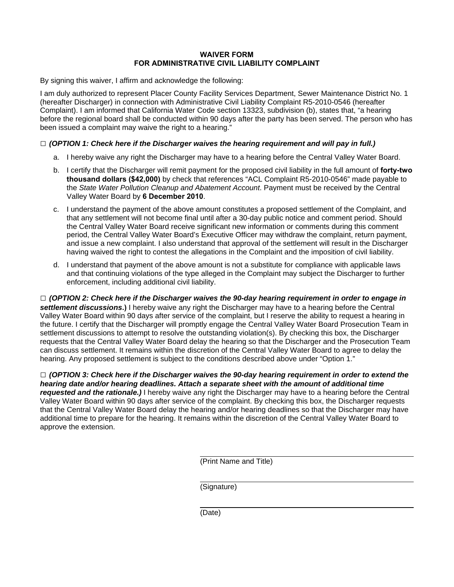## **WAIVER FORM FOR ADMINISTRATIVE CIVIL LIABILITY COMPLAINT**

By signing this waiver, I affirm and acknowledge the following:

I am duly authorized to represent Placer County Facility Services Department, Sewer Maintenance District No. 1 (hereafter Discharger) in connection with Administrative Civil Liability Complaint R5-2010-0546 (hereafter Complaint). I am informed that California Water Code section 13323, subdivision (b), states that, "a hearing before the regional board shall be conducted within 90 days after the party has been served. The person who has been issued a complaint may waive the right to a hearing."

## **□** *(OPTION 1: Check here if the Discharger waives the hearing requirement and will pay in full.)*

- a. I hereby waive any right the Discharger may have to a hearing before the Central Valley Water Board.
- b. I certify that the Discharger will remit payment for the proposed civil liability in the full amount of **forty-two thousand dollars (\$42,000)** by check that references "ACL Complaint R5-2010-0546" made payable to the *State Water Pollution Cleanup and Abatement Account*. Payment must be received by the Central Valley Water Board by **6 December 2010**.
- c. I understand the payment of the above amount constitutes a proposed settlement of the Complaint, and that any settlement will not become final until after a 30-day public notice and comment period. Should the Central Valley Water Board receive significant new information or comments during this comment period, the Central Valley Water Board's Executive Officer may withdraw the complaint, return payment, and issue a new complaint. I also understand that approval of the settlement will result in the Discharger having waived the right to contest the allegations in the Complaint and the imposition of civil liability.
- d. I understand that payment of the above amount is not a substitute for compliance with applicable laws and that continuing violations of the type alleged in the Complaint may subject the Discharger to further enforcement, including additional civil liability.

**□** *(OPTION 2: Check here if the Discharger waives the 90-day hearing requirement in order to engage in settlement discussions***.)** I hereby waive any right the Discharger may have to a hearing before the Central Valley Water Board within 90 days after service of the complaint, but I reserve the ability to request a hearing in the future. I certify that the Discharger will promptly engage the Central Valley Water Board Prosecution Team in settlement discussions to attempt to resolve the outstanding violation(s). By checking this box, the Discharger requests that the Central Valley Water Board delay the hearing so that the Discharger and the Prosecution Team can discuss settlement. It remains within the discretion of the Central Valley Water Board to agree to delay the hearing. Any proposed settlement is subject to the conditions described above under "Option 1."

**□** *(OPTION 3: Check here if the Discharger waives the 90-day hearing requirement in order to extend the hearing date and/or hearing deadlines. Attach a separate sheet with the amount of additional time requested and the rationale.)* I hereby waive any right the Discharger may have to a hearing before the Central Valley Water Board within 90 days after service of the complaint. By checking this box, the Discharger requests that the Central Valley Water Board delay the hearing and/or hearing deadlines so that the Discharger may have additional time to prepare for the hearing. It remains within the discretion of the Central Valley Water Board to approve the extension.

(Print Name and Title)

(Signature)

(Date)